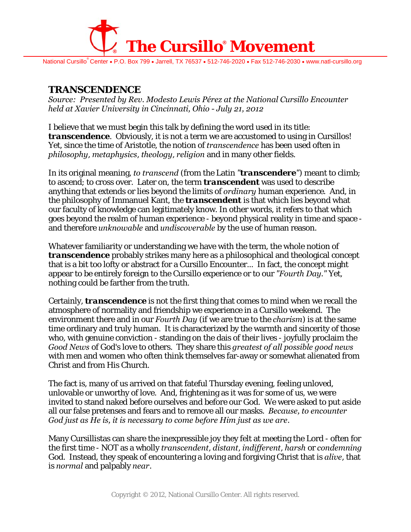

National Cursillo<sup>®</sup> Center • P.O. Box 799 • Jarrell, TX 76537 • 512-746-2020 • Fax 512-746-2030 • www.natl-cursillo.org

## **TRANSCENDENCE**

*Source: Presented by Rev. Modesto Lewis Pérez at the National Cursillo Encounter held at Xavier University in Cincinnati, Ohio - July 21, 2012* 

I believe that we must begin this talk by defining the word used in its title: *transcendence*. Obviously, it is not a term we are accustomed to using in Cursillos! Yet, since the time of Aristotle, the notion of *transcendence* has been used often in *philosophy*, *metaphysics*, *theology*, *religion* and in many other fields.

In its original meaning, *to transcend* (from the Latin *"transcendere"*) meant to climb; to ascend; to cross over. Later on, the term *transcendent* was used to describe anything that extends or lies beyond the limits of *ordinary* human experience*.* And, in the philosophy of Immanuel Kant, the *transcendent* is that which lies beyond what our faculty of knowledge can legitimately know. In other words, it refers to that which goes beyond the realm of human experience - beyond physical reality in time and space and therefore *unknowable* and *undiscoverable* by the use of human reason.

Whatever familiarity or understanding we have with the term, the whole notion of *transcendence* probably strikes many here as a philosophical and theological concept that is a bit too lofty or abstract for a Cursillo Encounter... In fact, the concept might appear to be entirely foreign to the Cursillo experience or to our *"Fourth Day."* Yet, nothing could be farther from the truth.

Certainly, *transcendence* is not the first thing that comes to mind when we recall the atmosphere of normality and friendship we experience in a Cursillo weekend. The environment there and in our *Fourth Day* (if we are true to the *charism*) is at the same time ordinary and truly human. It is characterized by the warmth and sincerity of those who, with genuine conviction - standing on the dais of their lives - joyfully proclaim the *Good News* of God's love to others. They share this *greatest of all possible good news* with men and women who often think themselves far-away or somewhat alienated from Christ and from His Church.

The fact is, many of us arrived on that fateful Thursday evening, feeling unloved, unlovable or unworthy of love. And, frightening as it was for some of us, we were invited to stand naked before ourselves and before our God. We were asked to put aside all our false pretenses and fears and to remove all our masks. *Because, to encounter God just as He is, it is necessary to come before Him just as we are*.

Many Cursillistas can share the inexpressible joy they felt at meeting the Lord - often for the first time - NOT as a wholly *transcendent*, *distant*, *indifferent*, *harsh* or *condemning* God. Instead, they speak of encountering a loving and forgiving Christ that is *alive*, that is *normal* and palpably *near*.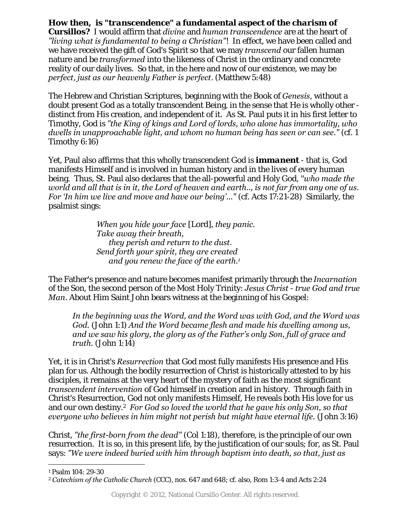**How then, is "***transcendence***" a fundamental aspect of the** *charism* **of** 

**Cursillos?** I would affirm that *divine* and *human transcendence* are at the heart of *"living what is fundamental to being a Christian"*! In effect, we have been called and we have received the gift of God's Spirit so that we may *transcend* our fallen human nature and be *transformed* into the likeness of Christ in the ordinary and concrete reality of our daily lives. So that, in the here and now of our existence, we may be *perfect*, *just as our heavenly Father is perfect*. (Matthew 5:48)

The Hebrew and Christian Scriptures, beginning with the Book of *Genesis*, without a doubt present God as a totally transcendent Being, in the sense that He is wholly other distinct from His creation, and independent of it. As St. Paul puts it in his first letter to Timothy, God is *"the King of kings and Lord of lords, who alone has immortality, who dwells in unapproachable light, and whom no human being has seen or can see."* (cf. 1 Timothy 6:16)

Yet, Paul also affirms that this wholly transcendent God is *immanent* - that is, God manifests Himself and is involved in human history and in the lives of every human being. Thus, St. Paul also declares that the all-powerful and Holy God, "*who made the world and all that is in it, the Lord of heaven and earth.., is not far from any one of us. For 'In him we live and move and have our being'..."* (cf. Acts 17:21-28) Similarly, the psalmist sings:

> *When you hide your face* [Lord]*, they panic. Take away their breath, they perish and return to the dust. Send forth your spirit, they are created and you renew the face of the earth.1*

The Father's presence and nature becomes manifest primarily through the *Incarnation* of the Son, the second person of the Most Holy Trinity: *Jesus Christ* - *true God and true Man*. About Him Saint John bears witness at the beginning of his Gospel:

*In the beginning was the Word, and the Word was with God, and the Word was God.* (John 1:1) *And the Word became flesh and made his dwelling among us, and we saw his glory, the glory as of the Father's only Son, full of grace and truth.* (John 1:14)

Yet, it is in Christ's *Resurrection* that God most fully manifests His presence and His plan for us. Although the bodily resurrection of Christ is historically attested to by his disciples, it remains at the very heart of the mystery of faith as the most significant *transcendent intervention* of God himself in creation and in history. Through faith in Christ's Resurrection, God not only manifests Himself, He reveals both His love for us and our own destiny.2 *For God so loved the world that he gave his only Son, so that everyone who believes in him might not perish but might have eternal life.* (John 3:16)

Christ, *"the first-born from the dead"* (Col 1:18), therefore, is the principle of our own resurrection. It is so, in this present life, by the justification of our souls; for, as St. Paul says: *"We were indeed buried with him through baptism into death, so that, just as* 

 $\overline{a}$ 1 Psalm 104: 29-30

<sup>2</sup> *Catechism of the Catholic Church* (CCC), nos. 647 and 648; cf. also, Rom 1:3-4 and Acts 2:24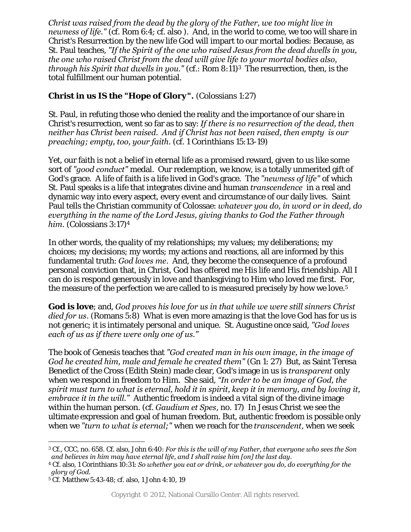*Christ was raised from the dead by the glory of the Father, we too might live in newness of life."* (cf. Rom 6:4; cf. also ). And, in the world to come, we too will share in Christ's Resurrection by the new life God will impart to our mortal bodies: Because, as St. Paul teaches, *"If the Spirit of the one who raised Jesus from the dead dwells in you, the one who raised Christ from the dead will give life to your mortal bodies also, through his Spirit that dwells in you."* (cf.: Rom 8:11)3 The resurrection, then, is the total fulfillment our human potential.

## **Christ in us IS the** *"Hope of Glory".* (Colossians 1:27)

St. Paul, in refuting those who denied the reality and the importance of our share in Christ's resurrection, went so far as to say: *If there is no resurrection of the dead, then neither has Christ been raised. And if Christ has not been raised, then empty is our preaching; empty, too, your faith.* (cf. 1 Corinthians 15:13-19)

Yet, our faith is not a belief in eternal life as a promised reward, given to us like some sort of *"good conduct"* medal. Our redemption, we know, is a totally unmerited gift of God's grace. A life of faith is a life lived in God's grace. The *"newness of life"* of which St. Paul speaks is a life that integrates divine and human *transcendence* in a real and dynamic way into every aspect, every event and circumstance of our daily lives. Saint Paul tells the Christian community of Colossae: *whatever you do, in word or in deed, do everything in the name of the Lord Jesus, giving thanks to God the Father through him.* (Colossians 3:17)4

In other words, the quality of my relationships; my values; my deliberations; my choices; my decisions; my words; my actions and reactions, all are informed by this fundamental truth: *God loves me*. And, they become the consequence of a profound personal conviction that, in Christ, God has offered me His life and His friendship. All I can do is respond generously in love and thanksgiving to Him who loved me first. For, the measure of the perfection we are called to is measured precisely by how we love.5

**God is love**; and, *God proves his love for us in that while we were still sinners Christ died for us*. (Romans 5:8) What is even more amazing is that the love God has for us is not generic; it is intimately personal and unique. St. Augustine once said, *"God loves each of us as if there were only one of us."* 

The book of Genesis teaches that *"God created man in his own image, in the image of God he created him, male and female he created them"* (Gn 1: 27) But, as Saint Teresa Benedict of the Cross (Edith Stein) made clear, God's image in us is *transparent* only when we respond in freedom to Him. She said, *"In order to be an image of God, the spirit must turn to what is eternal, hold it in spirit, keep it in memory, and by loving it, embrace it in the will."* Authentic freedom is indeed a vital sign of the divine image within the human person. (cf. *Gaudium et Spes*, no. 17) In Jesus Christ we see the ultimate expression and goal of human freedom. But, authentic freedom is possible only when we *"turn to what is eternal;"* when we reach for the *transcendent*, when we seek

 $\overline{a}$ 3 Cf., CCC, no. 658. Cf. also, John 6:40: *For this is the will of my Father, that everyone who sees the Son and believes in him may have eternal life, and I shall raise him [on] the last day.* 4 Cf. also, 1 Corinthians 10:31: *So whether you eat or drink, or whatever you do, do everything for the* 

*glory of God.*

<sup>5</sup> Cf. Matthew 5:43-48; cf. also, 1 John 4:10, 19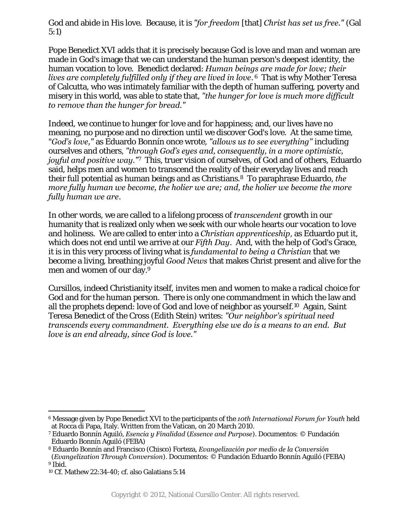God and abide in His love. Because, it is *"for freedom* [that] *Christ has set us free."* (Gal 5:1)

Pope Benedict XVI adds that it is precisely because God is love and man and woman are made in God's image that we can understand the human person's deepest identity, the human vocation to love. Benedict declared: *Human beings are made for love; their lives are completely fulfilled only if they are lived in love*. 6 That is why Mother Teresa of Calcutta, who was intimately familiar with the depth of human suffering, poverty and misery in this world, was able to state that, *"the hunger for love is much more difficult to remove than the hunger for bread."*

Indeed, we continue to hunger for love and for happiness; and, our lives have no meaning, no purpose and no direction until we discover God's love. At the same time, "*God's love,"* as Eduardo Bonnín once wrote, *"allows us to see everything"* including ourselves and others, *"through God's eyes and, consequently, in a more optimistic, joyful and positive way."*7 This, truer vision of ourselves, of God and of others, Eduardo said, helps men and women to transcend the reality of their everyday lives and reach their full potential as human beings and as Christians*.*<sup>8</sup>To paraphrase Eduardo, *the more fully human we become, the holier we are; and, the holier we become the more fully human we are*.

In other words, we are called to a lifelong process of *transcendent* growth in our humanity that is realized only when we seek with our whole hearts our vocation to love and holiness. We are called to enter into a *Christian apprenticeship*, as Eduardo put it, which does not end until we arrive at our *Fifth Day*. And, with the help of God's Grace, it is in this very process of living what is *fundamental to being a Christian* that we become a living, breathing joyful *Good News* that makes Christ present and alive for the men and women of our day.9

Cursillos, indeed Christianity itself, invites men and women to make a radical choice for God and for the human person. There is only one commandment in which the law and all the prophets depend: love of God and love of neighbor as yourself.10 Again, Saint Teresa Benedict of the Cross (Edith Stein) writes: *"Our neighbor's spiritual need transcends every commandment. Everything else we do is a means to an end. But love is an end already, since God is love."*

 $\overline{a}$ 

<sup>6</sup> Message given by Pope Benedict XVI to the participants of the *10th International Forum for Youth* held at Rocca di Papa, Italy. Written from the Vatican, on 20 March 2010.

<sup>7</sup> Eduardo Bonnín Aguiló, *Esencia y Finalidad* (*Essence and Purpose*). Documentos: © Fundación Eduardo Bonnín Aguiló (FEBA)

<sup>8</sup> Eduardo Bonnín and Francisco (Chisco) Forteza, *Evangelización por medio de la Conversión* (*Evangelization Through Conversion*). Documentos: © Fundación Eduardo Bonnín Aguiló (FEBA) 9 Ibid.

<sup>10</sup> Cf. Mathew 22:34-40; cf. also Galatians 5:14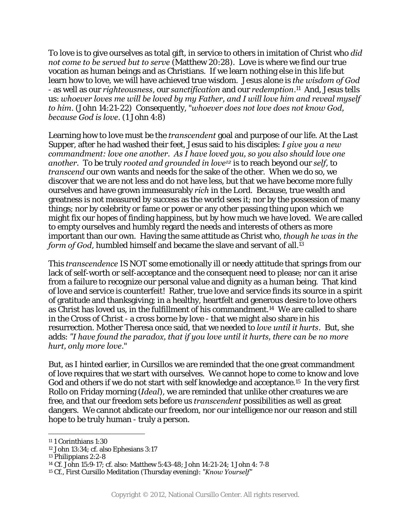To love is to give ourselves as total gift, in service to others in imitation of Christ who *did not come to be served but to serve* (Matthew 20:28). Love is where we find our true vocation as human beings and as Christians. If we learn nothing else in this life but learn how to love, we will have achieved true wisdom. Jesus alone is *the wisdom of God* - as well as our *righteousness*, our *sanctification* and our *redemption*.11 And, Jesus tells us: *whoever loves me will be loved by my Father, and I will love him and reveal myself to him*. (John 14:21-22) Consequently, "*whoever does not love does not know God, because God is love*. (1 John 4:8)

Learning how to love must be the *transcendent* goal and purpose of our life. At the Last Supper, after he had washed their feet, Jesus said to his disciples: *I give you a new commandment: love one another. As I have loved you, so you also should love one another.* To be truly *rooted and grounded in love12* is to reach beyond our *self*, to *transcend* our own wants and needs for the sake of the other. When we do so, we discover that we are not less and do not have less, but that we have become more fully ourselves and have grown immeasurably *rich* in the Lord. Because, true wealth and greatness is not measured by success as the world sees it; nor by the possession of many things; nor by celebrity or fame or power or any other passing thing upon which we might fix our hopes of finding happiness, but by how much we have loved. We are called to empty ourselves and humbly regard the needs and interests of others as more important than our own. Having the same attitude as Christ who, *though he was in the form of God*, humbled himself and became the slave and servant of all.13

This *transcendence* IS NOT some emotionally ill or needy attitude that springs from our lack of self-worth or self-acceptance and the consequent need to please; nor can it arise from a failure to recognize our personal value and dignity as a human being. That kind of love and service is counterfeit! Rather, true love and service finds its source in a spirit of gratitude and thanksgiving; in a healthy, heartfelt and generous desire to love others as Christ has loved us, in the fulfillment of his commandment.14 We are called to share in the Cross of Christ - a cross borne by love - that we might also share in his resurrection. Mother Theresa once said, that we needed to *love until it hurts*. But, she adds: *"I have found the paradox, that if you love until it hurts, there can be no more hurt, only more love*."

But, as I hinted earlier, in Cursillos we are reminded that the one great commandment of love requires that we start with ourselves. We cannot hope to come to know and love God and others if we do not start with self knowledge and acceptance.15 In the very first Rollo on Friday morning (*Ideal*), we are reminded that unlike other creatures we are free, and that our freedom sets before us *transcendent* possibilities as well as great dangers. We cannot abdicate our freedom, nor our intelligence nor our reason and still hope to be truly human - truly a person.

 $\overline{a}$ 11 1 Corinthians 1:30

<sup>12</sup> John 13:34; cf. also Ephesians 3:17

<sup>13</sup> Philippians 2:2-8

<sup>14</sup> Cf. John 15:9-17; cf. also: Matthew 5:43-48; John 14:21-24; 1 John 4: 7-8

<sup>15</sup> Cf., First Cursillo Meditation (Thursday evening): *"Know Yourself"*